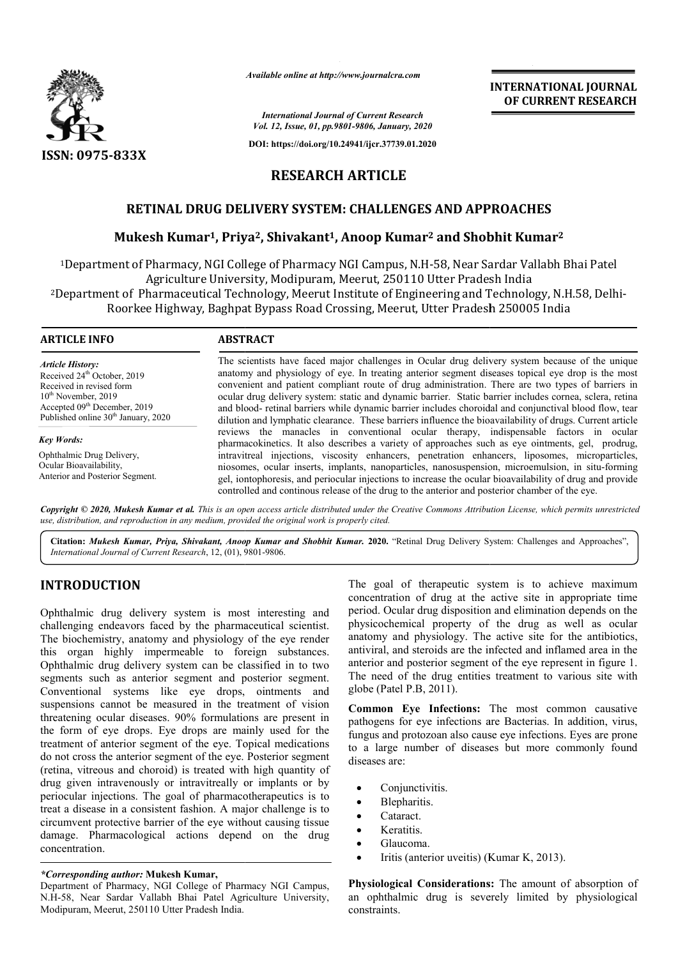

*Available online at http://www.journalcra.com*

*International Journal of Current Research Vol. 12, Issue, 01, pp.9801-9806, January, 2020*

**DOI: https://doi.org/10.24941/ijcr.37739.01.2020**

**INTERNATIONAL JOURNAL OF CURRENT RESEARCH**

# **RESEARCH ARTICLE**

# **RETINAL DRUG DELIVERY SYSTEM: CHALLENGES AND APPROACHES**

## **Mukesh Kumar1, Priya Priya2, Shivakant1, Anoop Kumar2 and Shobhit Shobhit Kumar2**

<sup>1</sup>Department of Pharmacy, NGI College of Pharmacy NGI Campus, N.H-58, Near Sardar Vallabh Bhai Patel Agriculture University, Modipuram, Meerut, 250110 Utter Pradesh India 2Department of Pharmaceutical Technology, Meerut Institute of Engineering and Technology, Technology, N.H.58, Delhi-Roorkee Highway, Baghpat Bypass Road Crossing, Meerut, Utter Pradesh 250005 India

| <b>ABSTRACT</b>                                                                                                                                                                                                                                                                                                                                                                                                                                                                                                                                                                                                                           |
|-------------------------------------------------------------------------------------------------------------------------------------------------------------------------------------------------------------------------------------------------------------------------------------------------------------------------------------------------------------------------------------------------------------------------------------------------------------------------------------------------------------------------------------------------------------------------------------------------------------------------------------------|
| The scientists have faced major challenges in Ocular drug delivery system because of the unique<br>anatomy and physiology of eye. In treating anterior segment diseases topical eye drop is the most<br>convenient and patient compliant route of drug administration. There are two types of barriers in<br>ocular drug delivery system: static and dynamic barrier. Static barrier includes cornea, sclera, retina<br>and blood-retinal barriers while dynamic barrier includes choroidal and conjunctival blood flow, tear<br>dilution and lymphatic clearance. These barriers influence the bioavailability of drugs. Current article |
| reviews the manacles in conventional ocular therapy, indispensable factors in ocular<br>pharmacokinetics. It also describes a variety of approaches such as eye ointments, gel, prodrug,                                                                                                                                                                                                                                                                                                                                                                                                                                                  |
| intravitreal injections, viscosity enhancers, penetration enhancers, liposomes, microparticles,<br>niosomes, ocular inserts, implants, nanoparticles, nanosuspension, microemulsion, in situ-forming<br>gel, iontophoresis, and periocular injections to increase the ocular bioavailability of drug and provide<br>controlled and continous release of the drug to the anterior and posterior chamber of the eye.                                                                                                                                                                                                                        |
|                                                                                                                                                                                                                                                                                                                                                                                                                                                                                                                                                                                                                                           |

Copyright © 2020, Mukesh Kumar et al. This is an open access article distributed under the Creative Commons Attribution License, which permits unrestrictea *use, distribution, and reproduction in any medium, provided the original work is properly cited.*

**Citation:** *Mukesh Kumar, Priya, Shivakant, Anoop Kumar and Shobhit Kumar.* **2020.** "Retinal Drug Delivery System: Challenges and Approaches",*International Journal of Current Research*, 12, (01), 9801 9801-9806.

# **INTRODUCTION**

Ophthalmic drug delivery system is most interesting and challenging endeavors faced by the pharmaceutical scientist. The biochemistry, anatomy and physiology of the eye render this organ highly impermeable to foreign substances. Ophthalmic drug delivery system can be classified in to two segments such as anterior segment and posterior segment. Conventional systems like eye drops, ointments and suspensions cannot be measured in the treatment of vision threatening ocular diseases. 90% formulations are present in the form of eye drops. Eye drops are mainly used for the treatment of anterior segment of the eye. Topical medications do not cross the anterior segment of the eye. Posterior segment (retina, vitreous and choroid) is treated with high quantity of drug given intravenously or intravitreally or implants or by periocular injections. The goal of pharmacotherapeutics is to treat a disease in a consistent fashion. A major challenge is to circumvent protective barrier of the eye without causing tissue damage. Pharmacological actions depend on the drug concentration.

### *\*Corresponding author:* **Mukesh Kumar,**

Department of Pharmacy, NGI College of Pharmacy NGI Campus, N.H-58, Near Sardar Vallabh Bhai Patel Agriculture University, Modipuram, Meerut, 250110 Utter Pradesh India.

The goal of therapeutic system is to achieve maximum concentration of drug at the active site in appropriate time period. Ocular drug disposition and elimination depends on the physicochemical property of the drug as well as ocular anatomy and physiology. The active site for the antibiotics, antiviral, and steroids are the infected and inflamed area in the anterior and posterior segment of the eye represent in figure 1. The need of the drug entities treatment to various site with globe (Patel P.B, 2011).

Common Eye Infections: The most common causative pathogens for eye infections are Bacterias. In addition, virus, fungus and protozoan also cause eye infections. Eyes are prone to a large number of diseases but more commonly found diseases are:

- Conjunctivitis.
- Blepharitis.
- Cataract.
- Keratitis.
- Glaucoma.
- Iritis (anterior uveitis) (Kumar K, 2013).

**Physiological Considerations:** The amount of absorption of an ophthalmic drug is severely limited by physiological constraints.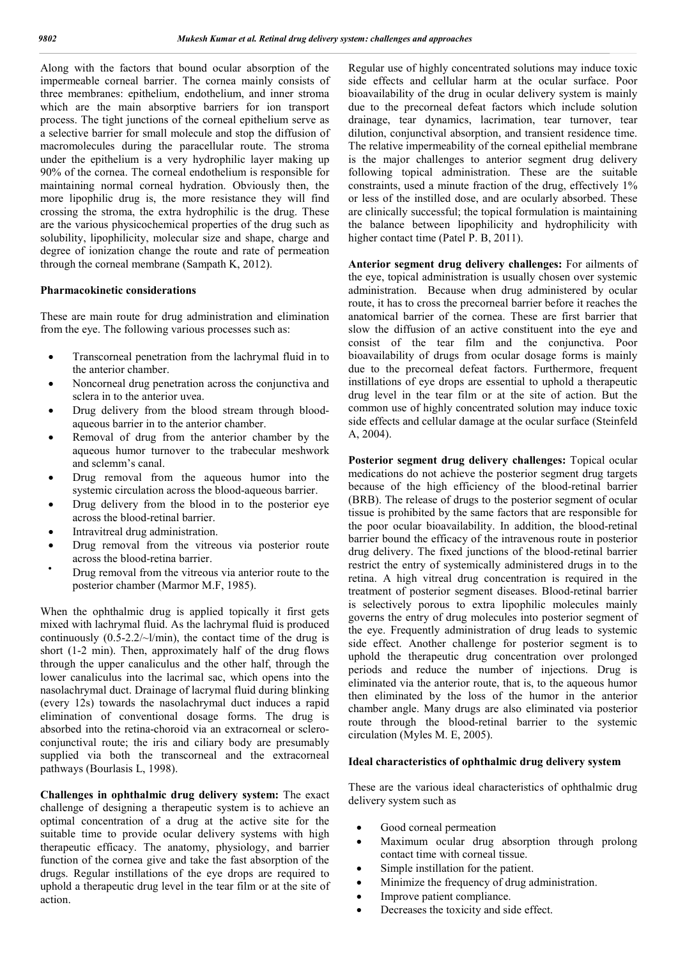Along with the factors that bound ocular absorption of the impermeable corneal barrier. The cornea mainly consists of three membranes: epithelium, endothelium, and inner stroma which are the main absorptive barriers for ion transport process. The tight junctions of the corneal epithelium serve as a selective barrier for small molecule and stop the diffusion of macromolecules during the paracellular route. The stroma under the epithelium is a very hydrophilic layer making up 90% of the cornea. The corneal endothelium is responsible for maintaining normal corneal hydration. Obviously then, the more lipophilic drug is, the more resistance they will find crossing the stroma, the extra hydrophilic is the drug. These are the various physicochemical properties of the drug such as solubility, lipophilicity, molecular size and shape, charge and degree of ionization change the route and rate of permeation through the corneal membrane (Sampath K, 2012).

#### **Pharmacokinetic considerations**

These are main route for drug administration and elimination from the eye. The following various processes such as:

- Transcorneal penetration from the lachrymal fluid in to the anterior chamber.
- Noncorneal drug penetration across the conjunctiva and sclera in to the anterior uvea.
- Drug delivery from the blood stream through bloodaqueous barrier in to the anterior chamber.
- Removal of drug from the anterior chamber by the aqueous humor turnover to the trabecular meshwork and sclemm's canal.
- Drug removal from the aqueous humor into the systemic circulation across the blood-aqueous barrier.
- Drug delivery from the blood in to the posterior eye across the blood-retinal barrier.
- Intravitreal drug administration.
- Drug removal from the vitreous via posterior route across the blood-retina barrier.
- Drug removal from the vitreous via anterior route to the posterior chamber (Marmor M.F, 1985).

When the ophthalmic drug is applied topically it first gets mixed with lachrymal fluid. As the lachrymal fluid is produced continuously  $(0.5{\text -}2.2/\text{-}1/\text{min})$ , the contact time of the drug is short (1-2 min). Then, approximately half of the drug flows through the upper canaliculus and the other half, through the lower canaliculus into the lacrimal sac, which opens into the nasolachrymal duct. Drainage of lacrymal fluid during blinking (every 12s) towards the nasolachrymal duct induces a rapid elimination of conventional dosage forms. The drug is absorbed into the retina-choroid via an extracorneal or scleroconjunctival route; the iris and ciliary body are presumably supplied via both the transcorneal and the extracorneal pathways (Bourlasis L, 1998).

**Challenges in ophthalmic drug delivery system:** The exact challenge of designing a therapeutic system is to achieve an optimal concentration of a drug at the active site for the suitable time to provide ocular delivery systems with high therapeutic efficacy. The anatomy, physiology, and barrier function of the cornea give and take the fast absorption of the drugs. Regular instillations of the eye drops are required to uphold a therapeutic drug level in the tear film or at the site of action.

Regular use of highly concentrated solutions may induce toxic side effects and cellular harm at the ocular surface. Poor bioavailability of the drug in ocular delivery system is mainly due to the precorneal defeat factors which include solution drainage, tear dynamics, lacrimation, tear turnover, tear dilution, conjunctival absorption, and transient residence time. The relative impermeability of the corneal epithelial membrane is the major challenges to anterior segment drug delivery following topical administration. These are the suitable constraints, used a minute fraction of the drug, effectively 1% or less of the instilled dose, and are ocularly absorbed. These are clinically successful; the topical formulation is maintaining the balance between lipophilicity and hydrophilicity with higher contact time (Patel P. B, 2011).

**Anterior segment drug delivery challenges:** For ailments of the eye, topical administration is usually chosen over systemic administration. Because when drug administered by ocular route, it has to cross the precorneal barrier before it reaches the anatomical barrier of the cornea. These are first barrier that slow the diffusion of an active constituent into the eye and consist of the tear film and the conjunctiva. Poor bioavailability of drugs from ocular dosage forms is mainly due to the precorneal defeat factors. Furthermore, frequent instillations of eye drops are essential to uphold a therapeutic drug level in the tear film or at the site of action. But the common use of highly concentrated solution may induce toxic side effects and cellular damage at the ocular surface (Steinfeld A, 2004).

**Posterior segment drug delivery challenges:** Topical ocular medications do not achieve the posterior segment drug targets because of the high efficiency of the blood-retinal barrier (BRB). The release of drugs to the posterior segment of ocular tissue is prohibited by the same factors that are responsible for the poor ocular bioavailability. In addition, the blood-retinal barrier bound the efficacy of the intravenous route in posterior drug delivery. The fixed junctions of the blood-retinal barrier restrict the entry of systemically administered drugs in to the retina. A high vitreal drug concentration is required in the treatment of posterior segment diseases. Blood-retinal barrier is selectively porous to extra lipophilic molecules mainly governs the entry of drug molecules into posterior segment of the eye. Frequently administration of drug leads to systemic side effect. Another challenge for posterior segment is to uphold the therapeutic drug concentration over prolonged periods and reduce the number of injections. Drug is eliminated via the anterior route, that is, to the aqueous humor then eliminated by the loss of the humor in the anterior chamber angle. Many drugs are also eliminated via posterior route through the blood-retinal barrier to the systemic circulation (Myles M. E, 2005).

#### **Ideal characteristics of ophthalmic drug delivery system**

These are the various ideal characteristics of ophthalmic drug delivery system such as

- Good corneal permeation
- Maximum ocular drug absorption through prolong contact time with corneal tissue.
- Simple instillation for the patient.
- Minimize the frequency of drug administration.
- Improve patient compliance.
- Decreases the toxicity and side effect.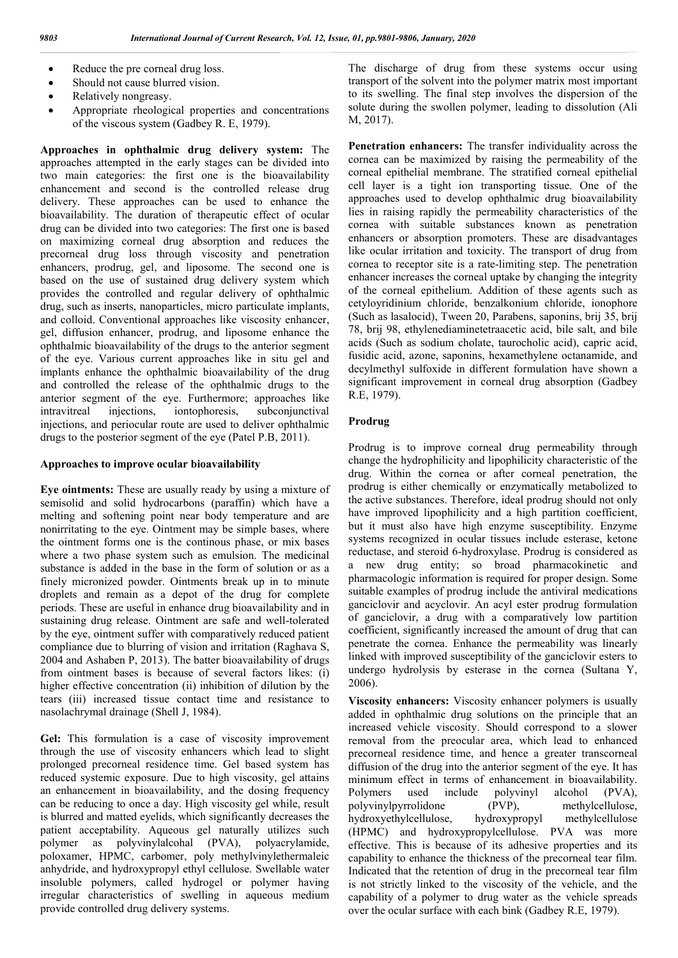- Reduce the pre corneal drug loss.
- Should not cause blurred vision.
- Relatively nongreasy.
- Appropriate rheological properties and concentrations of the viscous system (Gadbey R. E, 1979).

**Approaches in ophthalmic drug delivery system:** The approaches attempted in the early stages can be divided into two main categories: the first one is the bioavailability enhancement and second is the controlled release drug delivery. These approaches can be used to enhance the bioavailability. The duration of therapeutic effect of ocular drug can be divided into two categories: The first one is based on maximizing corneal drug absorption and reduces the precorneal drug loss through viscosity and penetration enhancers, prodrug, gel, and liposome. The second one is based on the use of sustained drug delivery system which provides the controlled and regular delivery of ophthalmic drug, such as inserts, nanoparticles, micro particulate implants, and colloid. Conventional approaches like viscosity enhancer, gel, diffusion enhancer, prodrug, and liposome enhance the ophthalmic bioavailability of the drugs to the anterior segment of the eye. Various current approaches like in situ gel and implants enhance the ophthalmic bioavailability of the drug and controlled the release of the ophthalmic drugs to the anterior segment of the eye. Furthermore; approaches like intravitreal injections, iontophoresis, subconjunctival injections, and periocular route are used to deliver ophthalmic drugs to the posterior segment of the eye (Patel P.B, 2011).

#### **Approaches to improve ocular bioavailability**

**Eye ointments:** These are usually ready by using a mixture of semisolid and solid hydrocarbons (paraffin) which have a melting and softening point near body temperature and are nonirritating to the eye. Ointment may be simple bases, where the ointment forms one is the continous phase, or mix bases where a two phase system such as emulsion. The medicinal substance is added in the base in the form of solution or as a finely micronized powder. Ointments break up in to minute droplets and remain as a depot of the drug for complete periods. These are useful in enhance drug bioavailability and in sustaining drug release. Ointment are safe and well-tolerated by the eye, ointment suffer with comparatively reduced patient compliance due to blurring of vision and irritation (Raghava S, 2004 and Ashaben P, 2013). The batter bioavailability of drugs from ointment bases is because of several factors likes: (i) higher effective concentration (ii) inhibition of dilution by the tears (iii) increased tissue contact time and resistance to nasolachrymal drainage (Shell J, 1984).

**Gel:** This formulation is a case of viscosity improvement through the use of viscosity enhancers which lead to slight prolonged precorneal residence time. Gel based system has reduced systemic exposure. Due to high viscosity, gel attains an enhancement in bioavailability, and the dosing frequency can be reducing to once a day. High viscosity gel while, result is blurred and matted eyelids, which significantly decreases the patient acceptability. Aqueous gel naturally utilizes such polymer as polyvinylalcohal (PVA), polyacrylamide, poloxamer, HPMC, carbomer, poly methylvinylethermaleic anhydride, and hydroxypropyl ethyl cellulose. Swellable water insoluble polymers, called hydrogel or polymer having irregular characteristics of swelling in aqueous medium provide controlled drug delivery systems.

The discharge of drug from these systems occur using transport of the solvent into the polymer matrix most important to its swelling. The final step involves the dispersion of the solute during the swollen polymer, leading to dissolution (Ali M, 2017).

**Penetration enhancers:** The transfer individuality across the cornea can be maximized by raising the permeability of the corneal epithelial membrane. The stratified corneal epithelial cell layer is a tight ion transporting tissue. One of the approaches used to develop ophthalmic drug bioavailability lies in raising rapidly the permeability characteristics of the cornea with suitable substances known as penetration enhancers or absorption promoters. These are disadvantages like ocular irritation and toxicity. The transport of drug from cornea to receptor site is a rate-limiting step. The penetration enhancer increases the corneal uptake by changing the integrity of the corneal epithelium. Addition of these agents such as cetyloyridinium chloride, benzalkonium chloride, ionophore (Such as lasalocid), Tween 20, Parabens, saponins, brij 35, brij 78, brij 98, ethylenediaminetetraacetic acid, bile salt, and bile acids (Such as sodium cholate, taurocholic acid), capric acid, fusidic acid, azone, saponins, hexamethylene octanamide, and decylmethyl sulfoxide in different formulation have shown a significant improvement in corneal drug absorption (Gadbey R.E, 1979).

### **Prodrug**

Prodrug is to improve corneal drug permeability through change the hydrophilicity and lipophilicity characteristic of the drug. Within the cornea or after corneal penetration, the prodrug is either chemically or enzymatically metabolized to the active substances. Therefore, ideal prodrug should not only have improved lipophilicity and a high partition coefficient, but it must also have high enzyme susceptibility. Enzyme systems recognized in ocular tissues include esterase, ketone reductase, and steroid 6-hydroxylase. Prodrug is considered as a new drug entity; so broad pharmacokinetic and pharmacologic information is required for proper design. Some suitable examples of prodrug include the antiviral medications ganciclovir and acyclovir. An acyl ester prodrug formulation of ganciclovir, a drug with a comparatively low partition coefficient, significantly increased the amount of drug that can penetrate the cornea. Enhance the permeability was linearly linked with improved susceptibility of the ganciclovir esters to undergo hydrolysis by esterase in the cornea (Sultana Y, 2006).

**Viscosity enhancers:** Viscosity enhancer polymers is usually added in ophthalmic drug solutions on the principle that an increased vehicle viscosity. Should correspond to a slower removal from the preocular area, which lead to enhanced precorneal residence time, and hence a greater transcorneal diffusion of the drug into the anterior segment of the eye. It has minimum effect in terms of enhancement in bioavailability. Polymers used include polyvinyl alcohol (PVA), polyvinylpyrrolidone (PVP), methylcellulose, hydroxyethylcellulose, hydroxypropyl (HPMC) and hydroxypropylcellulose. PVA was more effective. This is because of its adhesive properties and its capability to enhance the thickness of the precorneal tear film. Indicated that the retention of drug in the precorneal tear film is not strictly linked to the viscosity of the vehicle, and the capability of a polymer to drug water as the vehicle spreads over the ocular surface with each bink (Gadbey R.E, 1979).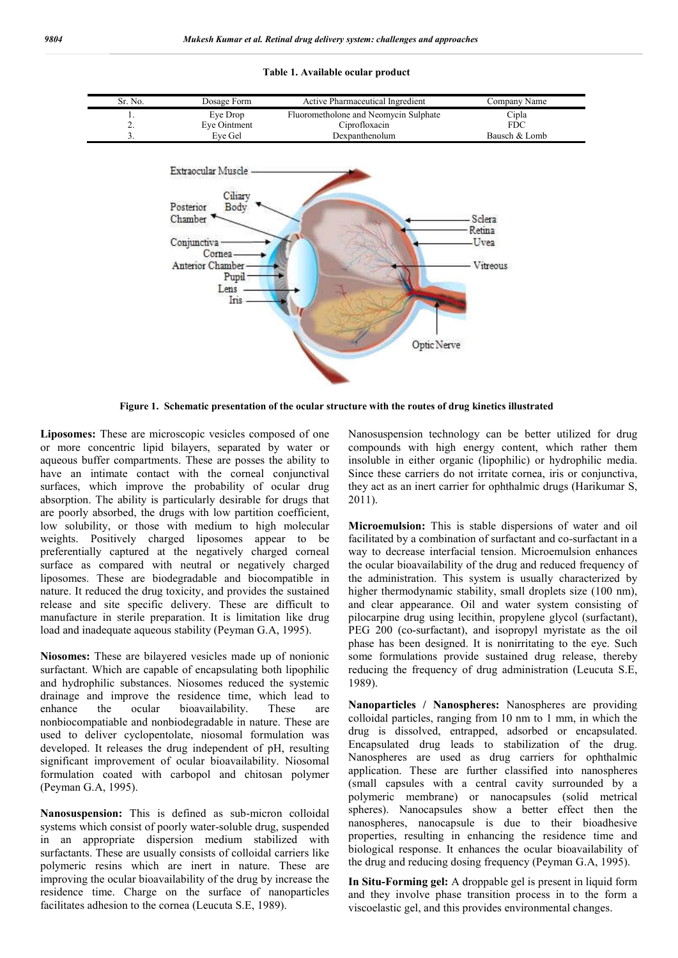

#### **Table 1. Available ocular product**

**Figure 1. Schematic presentation of the ocular structure with the routes of drug kinetics illustrated**

**Liposomes:** These are microscopic vesicles composed of one or more concentric lipid bilayers, separated by water or aqueous buffer compartments. These are posses the ability to have an intimate contact with the corneal conjunctival surfaces, which improve the probability of ocular drug absorption. The ability is particularly desirable for drugs that are poorly absorbed, the drugs with low partition coefficient, low solubility, or those with medium to high molecular weights. Positively charged liposomes appear to be preferentially captured at the negatively charged corneal surface as compared with neutral or negatively charged liposomes. These are biodegradable and biocompatible in nature. It reduced the drug toxicity, and provides the sustained release and site specific delivery. These are difficult to manufacture in sterile preparation. It is limitation like drug load and inadequate aqueous stability (Peyman G.A, 1995).

**Niosomes:** These are bilayered vesicles made up of nonionic surfactant. Which are capable of encapsulating both lipophilic and hydrophilic substances. Niosomes reduced the systemic drainage and improve the residence time, which lead to enhance the ocular bioavailability. These are nonbiocompatiable and nonbiodegradable in nature. These are used to deliver cyclopentolate, niosomal formulation was developed. It releases the drug independent of pH, resulting significant improvement of ocular bioavailability. Niosomal formulation coated with carbopol and chitosan polymer (Peyman G.A, 1995).

**Nanosuspension:** This is defined as sub-micron colloidal systems which consist of poorly water-soluble drug, suspended in an appropriate dispersion medium stabilized with surfactants. These are usually consists of colloidal carriers like polymeric resins which are inert in nature. These are improving the ocular bioavailability of the drug by increase the residence time. Charge on the surface of nanoparticles facilitates adhesion to the cornea (Leucuta S.E, 1989).

Nanosuspension technology can be better utilized for drug compounds with high energy content, which rather them insoluble in either organic (lipophilic) or hydrophilic media. Since these carriers do not irritate cornea, iris or conjunctiva, they act as an inert carrier for ophthalmic drugs (Harikumar S, 2011).

**Microemulsion:** This is stable dispersions of water and oil facilitated by a combination of surfactant and co-surfactant in a way to decrease interfacial tension. Microemulsion enhances the ocular bioavailability of the drug and reduced frequency of the administration. This system is usually characterized by higher thermodynamic stability, small droplets size (100 nm), and clear appearance. Oil and water system consisting of pilocarpine drug using lecithin, propylene glycol (surfactant), PEG 200 (co-surfactant), and isopropyl myristate as the oil phase has been designed. It is nonirritating to the eye. Such some formulations provide sustained drug release, thereby reducing the frequency of drug administration (Leucuta S.E, 1989).

**Nanoparticles / Nanospheres:** Nanospheres are providing colloidal particles, ranging from 10 nm to 1 mm, in which the drug is dissolved, entrapped, adsorbed or encapsulated. Encapsulated drug leads to stabilization of the drug. Nanospheres are used as drug carriers for ophthalmic application. These are further classified into nanospheres (small capsules with a central cavity surrounded by a polymeric membrane) or nanocapsules (solid metrical spheres). Nanocapsules show a better effect then the nanospheres, nanocapsule is due to their bioadhesive properties, resulting in enhancing the residence time and biological response. It enhances the ocular bioavailability of the drug and reducing dosing frequency (Peyman G.A, 1995).

**In Situ-Forming gel:** A droppable gel is present in liquid form and they involve phase transition process in to the form a viscoelastic gel, and this provides environmental changes.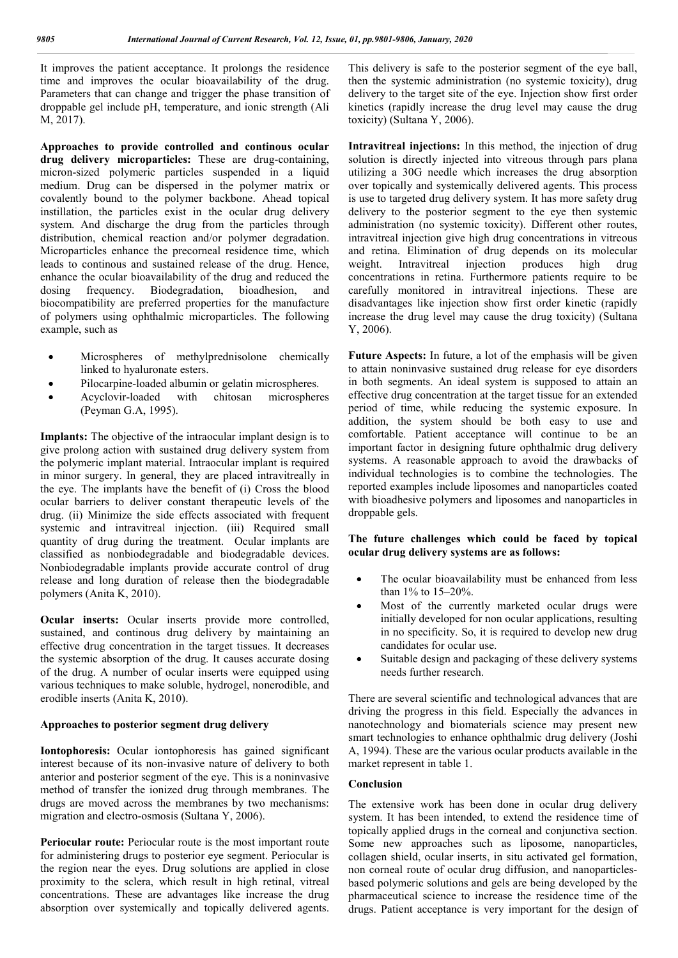It improves the patient acceptance. It prolongs the residence time and improves the ocular bioavailability of the drug. Parameters that can change and trigger the phase transition of droppable gel include pH, temperature, and ionic strength (Ali M, 2017).

**Approaches to provide controlled and continous ocular drug delivery microparticles:** These are drug-containing, micron-sized polymeric particles suspended in a liquid medium. Drug can be dispersed in the polymer matrix or covalently bound to the polymer backbone. Ahead topical instillation, the particles exist in the ocular drug delivery system. And discharge the drug from the particles through distribution, chemical reaction and/or polymer degradation. Microparticles enhance the precorneal residence time, which leads to continous and sustained release of the drug. Hence, enhance the ocular bioavailability of the drug and reduced the dosing frequency. Biodegradation, bioadhesion, and biocompatibility are preferred properties for the manufacture of polymers using ophthalmic microparticles. The following example, such as

- Microspheres of methylprednisolone chemically linked to hyaluronate esters.
- Pilocarpine-loaded albumin or gelatin microspheres.
- Acyclovir-loaded with chitosan microspheres (Peyman G.A, 1995).

**Implants:** The objective of the intraocular implant design is to give prolong action with sustained drug delivery system from the polymeric implant material. Intraocular implant is required in minor surgery. In general, they are placed intravitreally in the eye. The implants have the benefit of (i) Cross the blood ocular barriers to deliver constant therapeutic levels of the drug. (ii) Minimize the side effects associated with frequent systemic and intravitreal injection. (iii) Required small quantity of drug during the treatment. Ocular implants are classified as nonbiodegradable and biodegradable devices. Nonbiodegradable implants provide accurate control of drug release and long duration of release then the biodegradable polymers (Anita K, 2010).

**Ocular inserts:** Ocular inserts provide more controlled, sustained, and continous drug delivery by maintaining an effective drug concentration in the target tissues. It decreases the systemic absorption of the drug. It causes accurate dosing of the drug. A number of ocular inserts were equipped using various techniques to make soluble, hydrogel, nonerodible, and erodible inserts (Anita K, 2010).

#### **Approaches to posterior segment drug delivery**

**Iontophoresis:** Ocular iontophoresis has gained significant interest because of its non-invasive nature of delivery to both anterior and posterior segment of the eye. This is a noninvasive method of transfer the ionized drug through membranes. The drugs are moved across the membranes by two mechanisms: migration and electro-osmosis (Sultana Y, 2006).

**Periocular route:** Periocular route is the most important route for administering drugs to posterior eye segment. Periocular is the region near the eyes. Drug solutions are applied in close proximity to the sclera, which result in high retinal, vitreal concentrations. These are advantages like increase the drug absorption over systemically and topically delivered agents.

This delivery is safe to the posterior segment of the eye ball, then the systemic administration (no systemic toxicity), drug delivery to the target site of the eye. Injection show first order kinetics (rapidly increase the drug level may cause the drug toxicity) (Sultana Y, 2006).

**Intravitreal injections:** In this method, the injection of drug solution is directly injected into vitreous through pars plana utilizing a 30G needle which increases the drug absorption over topically and systemically delivered agents. This process is use to targeted drug delivery system. It has more safety drug delivery to the posterior segment to the eye then systemic administration (no systemic toxicity). Different other routes, intravitreal injection give high drug concentrations in vitreous and retina. Elimination of drug depends on its molecular weight. Intravitreal injection produces high drug concentrations in retina. Furthermore patients require to be carefully monitored in intravitreal injections. These are disadvantages like injection show first order kinetic (rapidly increase the drug level may cause the drug toxicity) (Sultana Y, 2006).

**Future Aspects:** In future, a lot of the emphasis will be given to attain noninvasive sustained drug release for eye disorders in both segments. An ideal system is supposed to attain an effective drug concentration at the target tissue for an extended period of time, while reducing the systemic exposure. In addition, the system should be both easy to use and comfortable. Patient acceptance will continue to be an important factor in designing future ophthalmic drug delivery systems. A reasonable approach to avoid the drawbacks of individual technologies is to combine the technologies. The reported examples include liposomes and nanoparticles coated with bioadhesive polymers and liposomes and nanoparticles in droppable gels.

### **The future challenges which could be faced by topical ocular drug delivery systems are as follows:**

- The ocular bioavailability must be enhanced from less than 1% to 15–20%.
- Most of the currently marketed ocular drugs were initially developed for non ocular applications, resulting in no specificity. So, it is required to develop new drug candidates for ocular use.
- Suitable design and packaging of these delivery systems needs further research.

There are several scientific and technological advances that are driving the progress in this field. Especially the advances in nanotechnology and biomaterials science may present new smart technologies to enhance ophthalmic drug delivery (Joshi A, 1994). These are the various ocular products available in the market represent in table 1.

### **Conclusion**

The extensive work has been done in ocular drug delivery system. It has been intended, to extend the residence time of topically applied drugs in the corneal and conjunctiva section. Some new approaches such as liposome, nanoparticles, collagen shield, ocular inserts, in situ activated gel formation, non corneal route of ocular drug diffusion, and nanoparticlesbased polymeric solutions and gels are being developed by the pharmaceutical science to increase the residence time of the drugs. Patient acceptance is very important for the design of